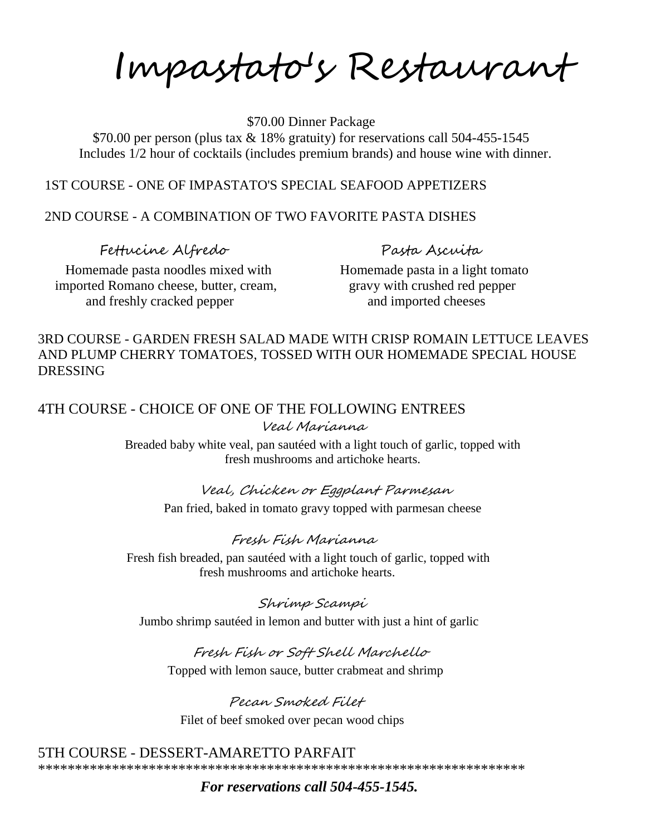Impastato's Restaurant

\$70.00 Dinner Package

 \$70.00 per person (plus tax & 18% gratuity) for reservations call 504-455-1545 Includes 1/2 hour of cocktails (includes premium brands) and house wine with dinner.

#### 1ST COURSE - ONE OF IMPASTATO'S SPECIAL SEAFOOD APPETIZERS

## 2ND COURSE - A COMBINATION OF TWO FAVORITE PASTA DISHES

Fettucine Alfredo Pasta Ascuita

Homemade pasta noodles mixed with Homemade pasta in a light tomato imported Romano cheese, butter, cream, gravy with crushed red pepper and freshly cracked pepper and imported cheeses

## 3RD COURSE - GARDEN FRESH SALAD MADE WITH CRISP ROMAIN LETTUCE LEAVES AND PLUMP CHERRY TOMATOES, TOSSED WITH OUR HOMEMADE SPECIAL HOUSE DRESSING

## 4TH COURSE - CHOICE OF ONE OF THE FOLLOWING ENTREES Veal Marianna

Breaded baby white veal, pan sautéed with a light touch of garlic, topped with fresh mushrooms and artichoke hearts.

# Veal, Chicken or Eggplant Parmesan

Pan fried, baked in tomato gravy topped with parmesan cheese

## Fresh Fish Marianna

 Fresh fish breaded, pan sautéed with a light touch of garlic, topped with fresh mushrooms and artichoke hearts.

## Shrimp Scampi

Jumbo shrimp sautéed in lemon and butter with just a hint of garlic

## Fresh Fish or Soft Shell Marchello

Topped with lemon sauce, butter crabmeat and shrimp

Pecan Smoked Filet Filet of beef smoked over pecan wood chips

#### 5TH COURSE - DESSERT-AMARETTO PARFAIT

\*\*\*\*\*\*\*\*\*\*\*\*\*\*\*\*\*\*\*\*\*\*\*\*\*\*\*\*\*\*\*\*\*\*\*\*\*\*\*\*\*\*\*\*\*\*\*\*\*\*\*\*\*\*\*\*\*\*\*\*\*\*\*\*\*\*

## *For reservations call 504-455-1545.*